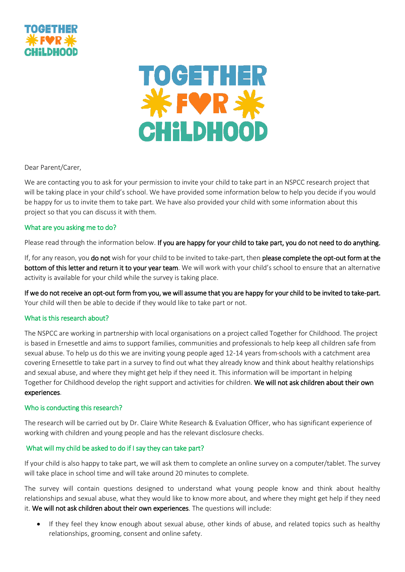



Dear Parent/Carer,

We are contacting you to ask for your permission to invite your child to take part in an NSPCC research project that will be taking place in your child's school. We have provided some information below to help you decide if you would be happy for us to invite them to take part. We have also provided your child with some information about this project so that you can discuss it with them.

## What are you asking me to do?

Please read through the information below. If you are happy for your child to take part, you do not need to do anything.

If, for any reason, you do not wish for your child to be invited to take-part, then please complete the opt-out form at the bottom of this letter and return it to your year team. We will work with your child's school to ensure that an alternative activity is available for your child while the survey is taking place.

If we do not receive an opt-out form from you, we will assume that you are happy for your child to be invited to take-part. Your child will then be able to decide if they would like to take part or not.

#### What is this research about?

The NSPCC are working in partnership with local organisations on a project called Together for Childhood. The project is based in Ernesettle and aims to support families, communities and professionals to help keep all children safe from sexual abuse. To help us do this we are inviting young people aged 12-14 years from schools with a catchment area covering Ernesettle to take part in a survey to find out what they already know and think about healthy relationships and sexual abuse, and where they might get help if they need it. This information will be important in helping Together for Childhood develop the right support and activities for children. We will not ask children about their own experiences.

## Who is conducting this research?

The research will be carried out by Dr. Claire White Research & Evaluation Officer, who has significant experience of working with children and young people and has the relevant disclosure checks.

#### What will my child be asked to do if I say they can take part?

If your child is also happy to take part, we will ask them to complete an online survey on a computer/tablet. The survey will take place in school time and will take around 20 minutes to complete.

The survey will contain questions designed to understand what young people know and think about healthy relationships and sexual abuse, what they would like to know more about, and where they might get help if they need it. We will not ask children about their own experiences. The questions will include:

• If they feel they know enough about sexual abuse, other kinds of abuse, and related topics such as healthy relationships, grooming, consent and online safety.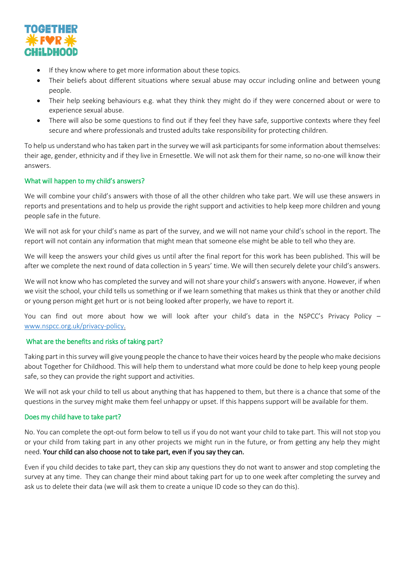

- If they know where to get more information about these topics.
- Their beliefs about different situations where sexual abuse may occur including online and between young people.
- Their help seeking behaviours e.g. what they think they might do if they were concerned about or were to experience sexual abuse.
- There will also be some questions to find out if they feel they have safe, supportive contexts where they feel secure and where professionals and trusted adults take responsibility for protecting children.

To help us understand who has taken part in the survey we will ask participants for some information about themselves: their age, gender, ethnicity and if they live in Ernesettle. We will not ask them for their name, so no-one will know their answers.

## What will happen to my child's answers?

We will combine your child's answers with those of all the other children who take part. We will use these answers in reports and presentations and to help us provide the right support and activities to help keep more children and young people safe in the future.

We will not ask for your child's name as part of the survey, and we will not name your child's school in the report. The report will not contain any information that might mean that someone else might be able to tell who they are.

We will keep the answers your child gives us until after the final report for this work has been published. This will be after we complete the next round of data collection in 5 years' time. We will then securely delete your child's answers.

We will not know who has completed the survey and will not share your child's answers with anyone. However, if when we visit the school, your child tells us something or if we learn something that makes us think that they or another child or young person might get hurt or is not being looked after properly, we have to report it.

You can find out more about how we will look after your child's data in the NSPCC's Privacy Policy [www.nspcc.org.uk/privacy-policy.](http://www.nspcc.org.uk/privacy-policy)

## What are the benefits and risks of taking part?

Taking part in this survey will give young people the chance to have their voices heard by the people who make decisions about Together for Childhood. This will help them to understand what more could be done to help keep young people safe, so they can provide the right support and activities.

We will not ask your child to tell us about anything that has happened to them, but there is a chance that some of the questions in the survey might make them feel unhappy or upset. If this happens support will be available for them.

## Does my child have to take part?

No. You can complete the opt-out form below to tell us if you do not want your child to take part. This will not stop you or your child from taking part in any other projects we might run in the future, or from getting any help they might need. Your child can also choose not to take part, even if you say they can.

Even if you child decides to take part, they can skip any questions they do not want to answer and stop completing the survey at any time. They can change their mind about taking part for up to one week after completing the survey and ask us to delete their data (we will ask them to create a unique ID code so they can do this).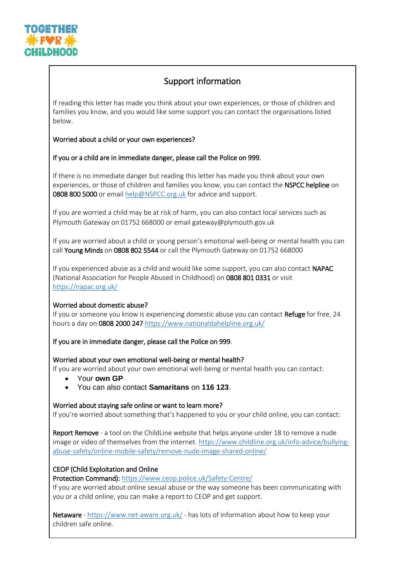

# Support information

If reading this letter has made you think about your own experiences, or those of children and families you know, and you would like some support you can contact the organisations listed below.

## Worried about a child or your own experiences?

## If you or a child are in immediate danger, please call the Police on 999.

If there is no immediate danger but reading this letter has made you think about your own experiences, or those of children and families you know, you can contact the NSPCC helpline on 0808 800 5000 or email [help@NSPCC.org.uk](mailto:help@NSPCC.org.uk) for advice and support.

If you are worried a child may be at risk of harm, you can also contact local services such as Plymouth Gateway on 01752 668000 or email gateway@plymouth.gov.uk

If you are worried about a child or young person's emotional well-being or mental health you can call Young Minds on 0808 802 5544 or call the Plymouth Gateway on 01752 668000

If you experienced abuse as a child and would like some support, you can also contact NAPAC (National Association for People Abused in Childhood) on 0808 801 0331 or visit <https://napac.org.uk/>

#### Worried about domestic abuse?

If you or someone you know is experiencing domestic abuse you can contact Refuge for free, 24 hours a day on 0808 2000 24[7 https://www.nationaldahelpline.org.uk/](https://www.nationaldahelpline.org.uk/)

If you are in immediate danger, please call the Police on 999.

#### Worried about your own emotional well-being or mental health?

If you are worried about your own emotional well-being or mental health you can contact:

- Your **own GP**
- You can also contact **Samaritans** on **116 123**.

Worried about staying safe online or want to learn more?

If you're worried about something that's happened to you or your child online, you can contact:

Report Remove - a tool on the ChildLine website that helps anyone under 18 to remove a nude image or video of themselves from the internet. [https://www.childline.org.uk/info-advice/bullying](https://www.childline.org.uk/info-advice/bullying-abuse-safety/online-mobile-safety/remove-nude-image-shared-online/)[abuse-safety/online-mobile-safety/remove-nude-image-shared-online/](https://www.childline.org.uk/info-advice/bullying-abuse-safety/online-mobile-safety/remove-nude-image-shared-online/)

## CEOP (Child Exploitation and Online

Protection Command): <https://www.ceop.police.uk/Safety-Centre/>

If you are worried about online sexual abuse or the way someone has been communicating with you or a child online, you can make a report to CEOP and get support.

Netaware - <https://www.net-aware.org.uk/> - has lots of information about how to keep your children safe online.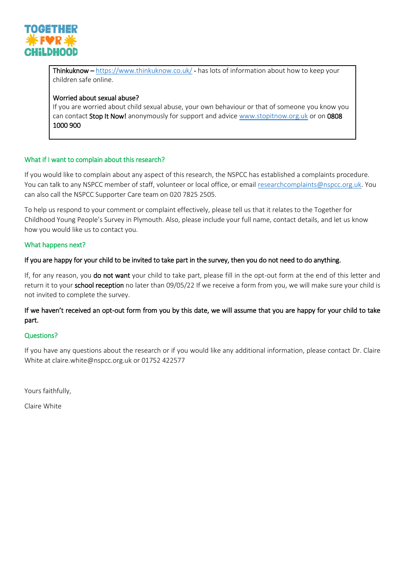

Thinkuknow – <https://www.thinkuknow.co.uk/> - has lots of information about how to keep your children safe online.

## Worried about sexual abuse?

If you are worried about child sexual abuse, your own behaviour or that of someone you know you can contact **Stop It Now!** anonymously for support and advice [www.stopitnow.org.uk](http://www.stopitnow.org.uk/) or on 0808 1000 900

## What if I want to complain about this research?

If you would like to complain about any aspect of this research, the NSPCC has established a complaints procedure. You can talk to any NSPCC member of staff, volunteer or local office, or email [researchcomplaints@nspcc.org.uk.](mailto:researchcomplaints@nspcc.org.uk) You can also call the NSPCC Supporter Care team on 020 7825 2505.

To help us respond to your comment or complaint effectively, please tell us that it relates to the Together for Childhood Young People's Survey in Plymouth. Also, please include your full name, contact details, and let us know how you would like us to contact you.

## What happens next?

## If you are happy for your child to be invited to take part in the survey, then you do not need to do anything.

If, for any reason, you do not want your child to take part, please fill in the opt-out form at the end of this letter and return it to your school reception no later than 09/05/22 If we receive a form from you, we will make sure your child is not invited to complete the survey.

## If we haven't received an opt-out form from you by this date, we will assume that you are happy for your child to take part.

#### Questions?

If you have any questions about the research or if you would like any additional information, please contact Dr. Claire White at claire.white@nspcc.org.uk or 01752 422577

Yours faithfully,

Claire White